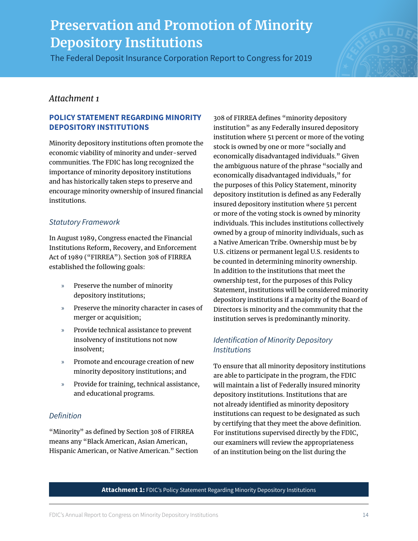The Federal Deposit Insurance Corporation Report to Congress for 2019



# *Attachment 1*

### **POLICY STATEMENT REGARDING MINORITY DEPOSITORY INSTITUTIONS**

Minority depository institutions often promote the economic viability of minority and under-served communities. The FDIC has long recognized the importance of minority depository institutions and has historically taken steps to preserve and encourage minority ownership of insured financial institutions.

## *Statutory Framework*

In August 1989, Congress enacted the Financial Institutions Reform, Recovery, and Enforcement Act of 1989 ("FIRREA"). Section 308 of FIRREA established the following goals:

- » Preserve the number of minority depository institutions;
- » Preserve the minority character in cases of merger or acquisition;
- » Provide technical assistance to prevent insolvency of institutions not now insolvent;
- » Promote and encourage creation of new minority depository institutions; and
- » Provide for training, technical assistance, and educational programs.

### *Definition*

"Minority" as defined by Section 308 of FIRREA means any "Black American, Asian American, Hispanic American, or Native American." Section 308 of FIRREA defines "minority depository institution" as any Federally insured depository institution where 51 percent or more of the voting stock is owned by one or more "socially and economically disadvantaged individuals." Given the ambiguous nature of the phrase "socially and economically disadvantaged individuals," for the purposes of this Policy Statement, minority depository institution is defined as any Federally insured depository institution where 51 percent or more of the voting stock is owned by minority individuals. This includes institutions collectively owned by a group of minority individuals, such as a Native American Tribe. Ownership must be by U.S. citizens or permanent legal U.S. residents to be counted in determining minority ownership. In addition to the institutions that meet the ownership test, for the purposes of this Policy Statement, institutions will be considered minority depository institutions if a majority of the Board of Directors is minority and the community that the institution serves is predominantly minority.

## *Identification of Minority Depository Institutions*

To ensure that all minority depository institutions are able to participate in the program, the FDIC will maintain a list of Federally insured minority depository institutions. Institutions that are not already identified as minority depository institutions can request to be designated as such by certifying that they meet the above definition. For institutions supervised directly by the FDIC, our examiners will review the appropriateness of an institution being on the list during the

**Attachment 1:** FDIC's Policy Statement Regarding Minority Depository Institutions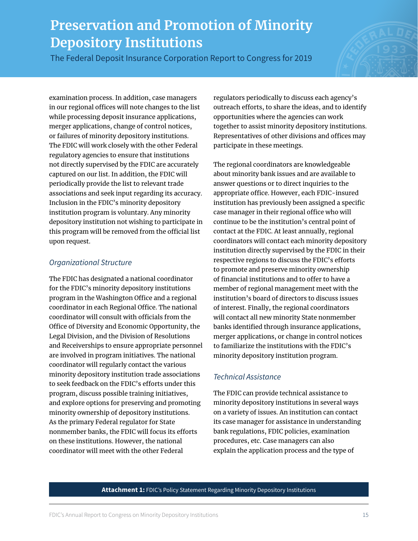The Federal Deposit Insurance Corporation Report to Congress for 2019

examination process. In addition, case managers in our regional offices will note changes to the list while processing deposit insurance applications, merger applications, change of control notices, or failures of minority depository institutions. The FDIC will work closely with the other Federal regulatory agencies to ensure that institutions not directly supervised by the FDIC are accurately captured on our list. In addition, the FDIC will periodically provide the list to relevant trade associations and seek input regarding its accuracy. Inclusion in the FDIC's minority depository institution program is voluntary. Any minority depository institution not wishing to participate in this program will be removed from the official list upon request.

### *Organizational Structure*

The FDIC has designated a national coordinator for the FDIC's minority depository institutions program in the Washington Office and a regional coordinator in each Regional Office. The national coordinator will consult with officials from the Office of Diversity and Economic Opportunity, the Legal Division, and the Division of Resolutions and Receiverships to ensure appropriate personnel are involved in program initiatives. The national coordinator will regularly contact the various minority depository institution trade associations to seek feedback on the FDIC's efforts under this program, discuss possible training initiatives, and explore options for preserving and promoting minority ownership of depository institutions. As the primary Federal regulator for State nonmember banks, the FDIC will focus its efforts on these institutions. However, the national coordinator will meet with the other Federal

regulators periodically to discuss each agency's outreach efforts, to share the ideas, and to identify opportunities where the agencies can work together to assist minority depository institutions. Representatives of other divisions and offices may participate in these meetings.

The regional coordinators are knowledgeable about minority bank issues and are available to answer questions or to direct inquiries to the appropriate office. However, each FDIC-insured institution has previously been assigned a specific case manager in their regional office who will continue to be the institution's central point of contact at the FDIC. At least annually, regional coordinators will contact each minority depository institution directly supervised by the FDIC in their respective regions to discuss the FDIC's efforts to promote and preserve minority ownership of financial institutions and to offer to have a member of regional management meet with the institution's board of directors to discuss issues of interest. Finally, the regional coordinators will contact all new minority State nonmember banks identified through insurance applications, merger applications, or change in control notices to familiarize the institutions with the FDIC's minority depository institution program.

### *Technical Assistance*

The FDIC can provide technical assistance to minority depository institutions in several ways on a variety of issues. An institution can contact its case manager for assistance in understanding bank regulations, FDIC policies, examination procedures, etc. Case managers can also explain the application process and the type of

#### **Attachment 1:** FDIC's Policy Statement Regarding Minority Depository Institutions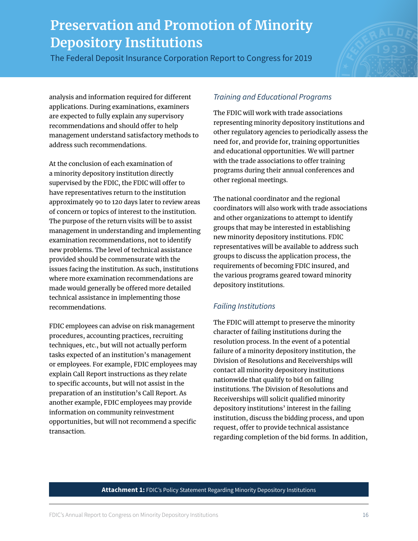The Federal Deposit Insurance Corporation Report to Congress for 2019



analysis and information required for different applications. During examinations, examiners are expected to fully explain any supervisory recommendations and should offer to help management understand satisfactory methods to address such recommendations.

At the conclusion of each examination of a minority depository institution directly supervised by the FDIC, the FDIC will offer to have representatives return to the institution approximately 90 to 120 days later to review areas of concern or topics of interest to the institution. The purpose of the return visits will be to assist management in understanding and implementing examination recommendations, not to identify new problems. The level of technical assistance provided should be commensurate with the issues facing the institution. As such, institutions where more examination recommendations are made would generally be offered more detailed technical assistance in implementing those recommendations.

FDIC employees can advise on risk management procedures, accounting practices, recruiting techniques, etc., but will not actually perform tasks expected of an institution's management or employees. For example, FDIC employees may explain Call Report instructions as they relate to specific accounts, but will not assist in the preparation of an institution's Call Report. As another example, FDIC employees may provide information on community reinvestment opportunities, but will not recommend a specific transaction.

# *Training and Educational Programs*

The FDIC will work with trade associations representing minority depository institutions and other regulatory agencies to periodically assess the need for, and provide for, training opportunities and educational opportunities. We will partner with the trade associations to offer training programs during their annual conferences and other regional meetings.

The national coordinator and the regional coordinators will also work with trade associations and other organizations to attempt to identify groups that may be interested in establishing new minority depository institutions. FDIC representatives will be available to address such groups to discuss the application process, the requirements of becoming FDIC insured, and the various programs geared toward minority depository institutions.

## *Failing Institutions*

The FDIC will attempt to preserve the minority character of failing institutions during the resolution process. In the event of a potential failure of a minority depository institution, the Division of Resolutions and Receiverships will contact all minority depository institutions nationwide that qualify to bid on failing institutions. The Division of Resolutions and Receiverships will solicit qualified minority depository institutions' interest in the failing institution, discuss the bidding process, and upon request, offer to provide technical assistance regarding completion of the bid forms. In addition,